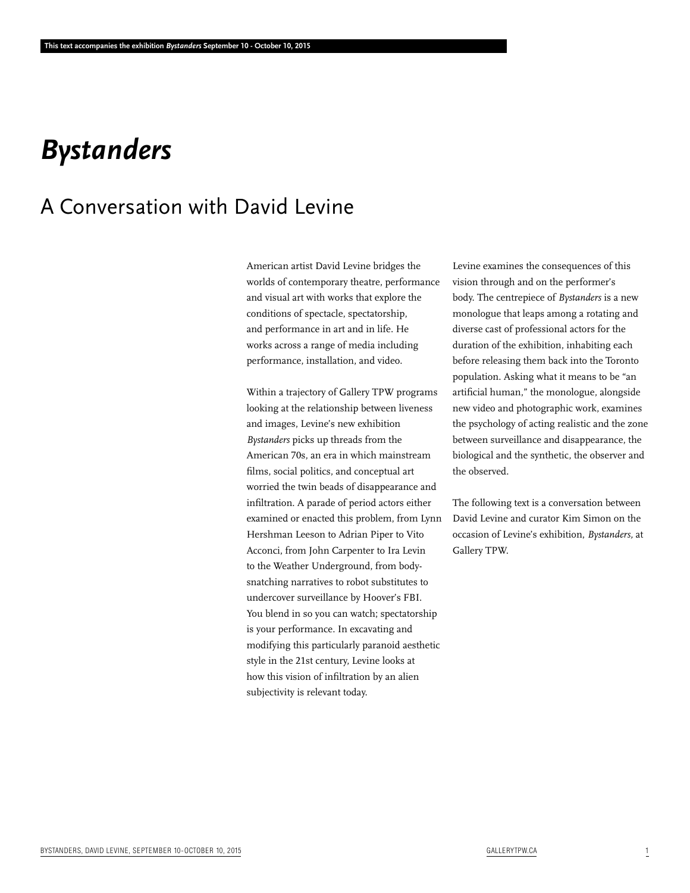# *Bystanders*

## A Conversation with David Levine

American artist David Levine bridges the worlds of contemporary theatre, performance and visual art with works that explore the conditions of spectacle, spectatorship, and performance in art and in life. He works across a range of media including performance, installation, and video.

Within a trajectory of Gallery TPW programs looking at the relationship between liveness and images, Levine's new exhibition *Bystanders* picks up threads from the American 70s, an era in which mainstream films, social politics, and conceptual art worried the twin beads of disappearance and infiltration. A parade of period actors either examined or enacted this problem, from Lynn Hershman Leeson to Adrian Piper to Vito Acconci, from John Carpenter to Ira Levin to the Weather Underground, from bodysnatching narratives to robot substitutes to undercover surveillance by Hoover's FBI. You blend in so you can watch; spectatorship is your performance. In excavating and modifying this particularly paranoid aesthetic style in the 21st century, Levine looks at how this vision of infiltration by an alien subjectivity is relevant today.

Levine examines the consequences of this vision through and on the performer's body. The centrepiece of *Bystanders* is a new monologue that leaps among a rotating and diverse cast of professional actors for the duration of the exhibition, inhabiting each before releasing them back into the Toronto population. Asking what it means to be "an artificial human," the monologue, alongside new video and photographic work, examines the psychology of acting realistic and the zone between surveillance and disappearance, the biological and the synthetic, the observer and the observed.

The following text is a conversation between David Levine and curator Kim Simon on the occasion of Levine's exhibition, *Bystanders,* at Gallery TPW.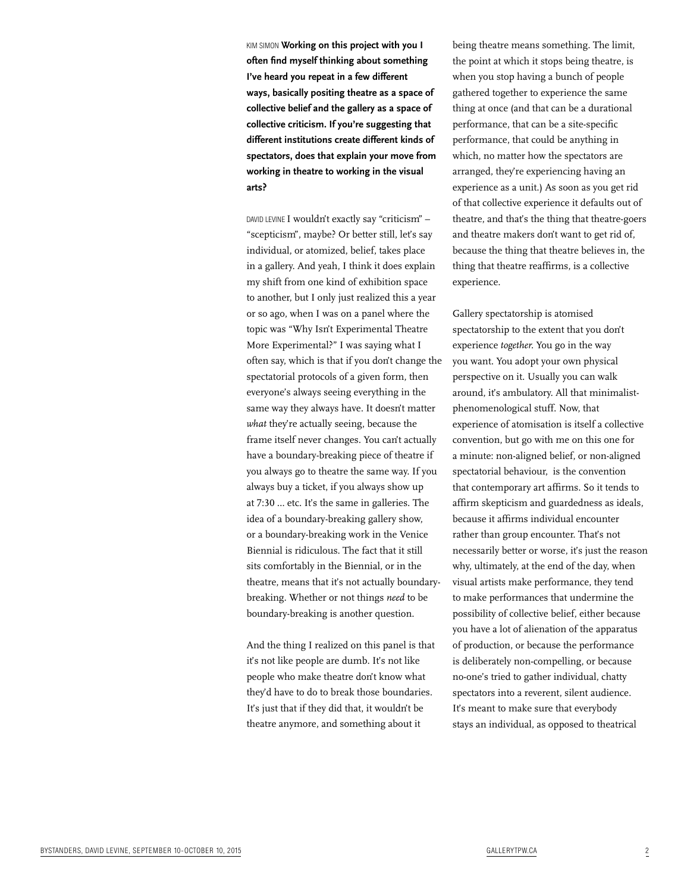KIM SIMON **Working on this project with you I often find myself thinking about something I've heard you repeat in a few different ways, basically positing theatre as a space of collective belief and the gallery as a space of collective criticism. If you're suggesting that different institutions create different kinds of spectators, does that explain your move from working in theatre to working in the visual arts?**

DAVID LEVINE I wouldn't exactly say "criticism" – "scepticism", maybe? Or better still, let's say individual, or atomized, belief, takes place in a gallery. And yeah, I think it does explain my shift from one kind of exhibition space to another, but I only just realized this a year or so ago, when I was on a panel where the topic was "Why Isn't Experimental Theatre More Experimental?" I was saying what I often say, which is that if you don't change the spectatorial protocols of a given form, then everyone's always seeing everything in the same way they always have. It doesn't matter *what* they're actually seeing, because the frame itself never changes. You can't actually have a boundary-breaking piece of theatre if you always go to theatre the same way. If you always buy a ticket, if you always show up at 7:30 … etc. It's the same in galleries. The idea of a boundary-breaking gallery show, or a boundary-breaking work in the Venice Biennial is ridiculous. The fact that it still sits comfortably in the Biennial, or in the theatre, means that it's not actually boundarybreaking. Whether or not things *need* to be boundary-breaking is another question.

And the thing I realized on this panel is that it's not like people are dumb. It's not like people who make theatre don't know what they'd have to do to break those boundaries. It's just that if they did that, it wouldn't be theatre anymore, and something about it

being theatre means something. The limit, the point at which it stops being theatre, is when you stop having a bunch of people gathered together to experience the same thing at once (and that can be a durational performance, that can be a site-specific performance, that could be anything in which, no matter how the spectators are arranged, they're experiencing having an experience as a unit.) As soon as you get rid of that collective experience it defaults out of theatre, and that's the thing that theatre-goers and theatre makers don't want to get rid of, because the thing that theatre believes in, the thing that theatre reaffirms, is a collective experience.

Gallery spectatorship is atomised spectatorship to the extent that you don't experience *together.* You go in the way you want. You adopt your own physical perspective on it. Usually you can walk around, it's ambulatory. All that minimalistphenomenological stuff. Now, that experience of atomisation is itself a collective convention, but go with me on this one for a minute: non-aligned belief, or non-aligned spectatorial behaviour, is the convention that contemporary art affirms. So it tends to affirm skepticism and guardedness as ideals, because it affirms individual encounter rather than group encounter. That's not necessarily better or worse, it's just the reason why, ultimately, at the end of the day, when visual artists make performance, they tend to make performances that undermine the possibility of collective belief, either because you have a lot of alienation of the apparatus of production, or because the performance is deliberately non-compelling, or because no-one's tried to gather individual, chatty spectators into a reverent, silent audience. It's meant to make sure that everybody stays an individual, as opposed to theatrical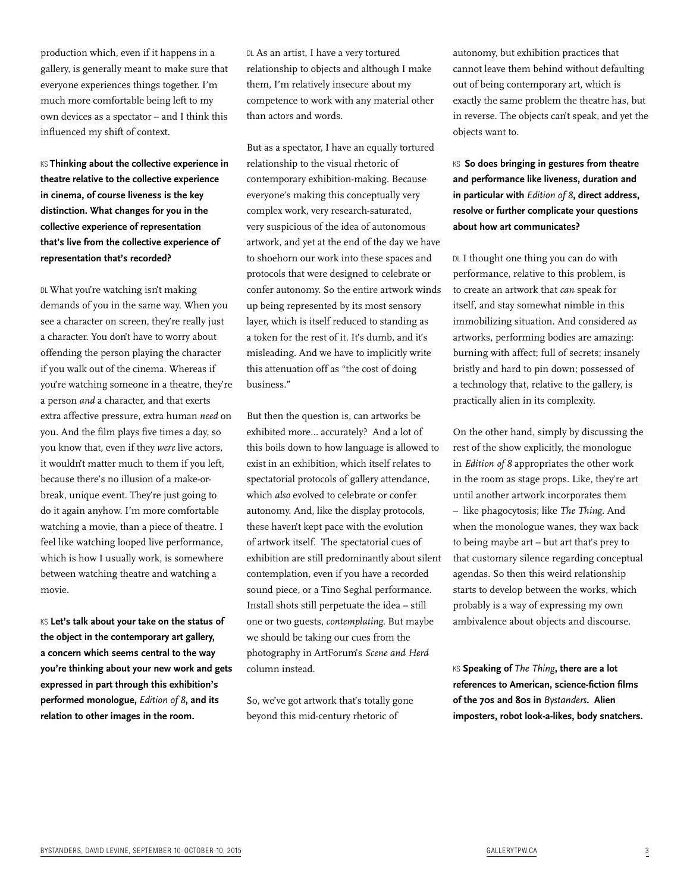production which, even if it happens in a gallery, is generally meant to make sure that everyone experiences things together. I'm much more comfortable being left to my own devices as a spectator – and I think this influenced my shift of context.

KS **Thinking about the collective experience in theatre relative to the collective experience in cinema, of course liveness is the key distinction. What changes for you in the collective experience of representation that's live from the collective experience of representation that's recorded?**

DL What you're watching isn't making demands of you in the same way. When you see a character on screen, they're really just a character. You don't have to worry about offending the person playing the character if you walk out of the cinema. Whereas if you're watching someone in a theatre, they're a person *and* a character, and that exerts extra affective pressure, extra human *need* on you. And the film plays five times a day, so you know that, even if they *were* live actors, it wouldn't matter much to them if you left, because there's no illusion of a make-orbreak, unique event. They're just going to do it again anyhow. I'm more comfortable watching a movie, than a piece of theatre. I feel like watching looped live performance, which is how I usually work, is somewhere between watching theatre and watching a movie.

KS **Let's talk about your take on the status of the object in the contemporary art gallery, a concern which seems central to the way you're thinking about your new work and gets expressed in part through this exhibition's performed monologue,** *Edition of 8***, and its relation to other images in the room.**

DL As an artist, I have a very tortured relationship to objects and although I make them, I'm relatively insecure about my competence to work with any material other than actors and words.

But as a spectator, I have an equally tortured relationship to the visual rhetoric of contemporary exhibition-making. Because everyone's making this conceptually very complex work, very research-saturated, very suspicious of the idea of autonomous artwork, and yet at the end of the day we have to shoehorn our work into these spaces and protocols that were designed to celebrate or confer autonomy. So the entire artwork winds up being represented by its most sensory layer, which is itself reduced to standing as a token for the rest of it. It's dumb, and it's misleading. And we have to implicitly write this attenuation off as "the cost of doing business."

But then the question is, can artworks be exhibited more… accurately? And a lot of this boils down to how language is allowed to exist in an exhibition, which itself relates to spectatorial protocols of gallery attendance, which *also* evolved to celebrate or confer autonomy. And, like the display protocols, these haven't kept pace with the evolution of artwork itself. The spectatorial cues of exhibition are still predominantly about silent contemplation, even if you have a recorded sound piece, or a Tino Seghal performance. Install shots still perpetuate the idea – still one or two guests, *contemplating*. But maybe we should be taking our cues from the photography in ArtForum's *Scene and Herd* column instead.

So, we've got artwork that's totally gone beyond this mid-century rhetoric of

autonomy, but exhibition practices that cannot leave them behind without defaulting out of being contemporary art, which is exactly the same problem the theatre has, but in reverse. The objects can't speak, and yet the objects want to.

### KS **So does bringing in gestures from theatre and performance like liveness, duration and in particular with** *Edition of 8***, direct address, resolve or further complicate your questions about how art communicates?**

DL I thought one thing you can do with performance, relative to this problem, is to create an artwork that *can* speak for itself, and stay somewhat nimble in this immobilizing situation. And considered *as*  artworks, performing bodies are amazing: burning with affect; full of secrets; insanely bristly and hard to pin down; possessed of a technology that, relative to the gallery, is practically alien in its complexity.

On the other hand, simply by discussing the rest of the show explicitly, the monologue in *Edition of 8* appropriates the other work in the room as stage props. Like, they're art until another artwork incorporates them – like phagocytosis; like *The Thing*. And when the monologue wanes, they wax back to being maybe art – but art that's prey to that customary silence regarding conceptual agendas. So then this weird relationship starts to develop between the works, which probably is a way of expressing my own ambivalence about objects and discourse.

KS **Speaking of** *The Thing***, there are a lot references to American, science-fiction films of the 70s and 80s in** *Bystanders***. Alien imposters, robot look-a-likes, body snatchers.**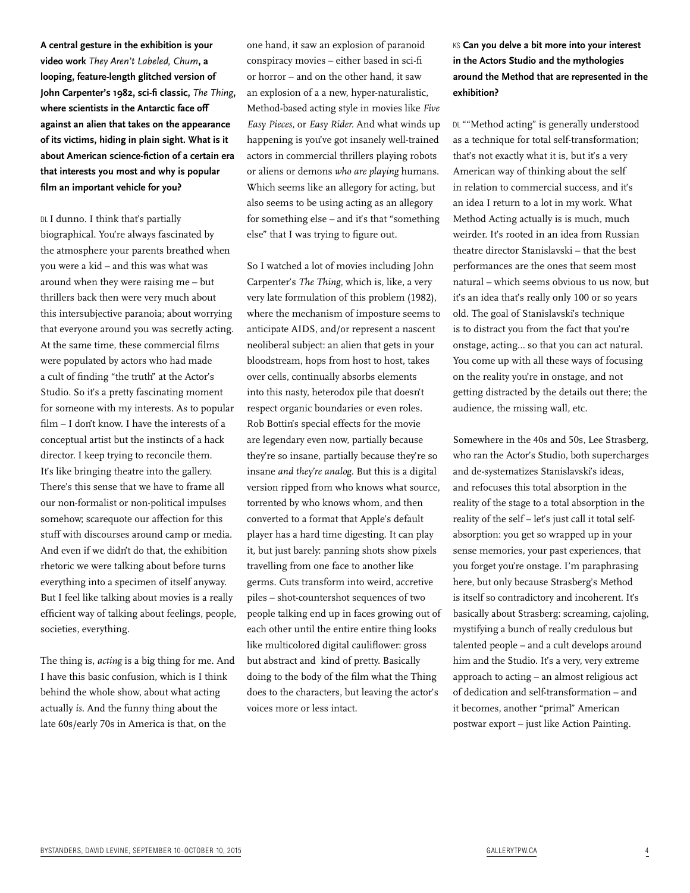**A central gesture in the exhibition is your video work** *They Aren't Labeled, Chum***, a looping, feature-length glitched version of John Carpenter's 1982, sci-fi classic,** *The Thing***, where scientists in the Antarctic face off against an alien that takes on the appearance of its victims, hiding in plain sight. What is it about American science-fiction of a certain era that interests you most and why is popular film an important vehicle for you?** 

DL I dunno. I think that's partially biographical. You're always fascinated by the atmosphere your parents breathed when you were a kid – and this was what was around when they were raising me – but thrillers back then were very much about this intersubjective paranoia; about worrying that everyone around you was secretly acting. At the same time, these commercial films were populated by actors who had made a cult of finding "the truth" at the Actor's Studio. So it's a pretty fascinating moment for someone with my interests. As to popular film – I don't know. I have the interests of a conceptual artist but the instincts of a hack director. I keep trying to reconcile them. It's like bringing theatre into the gallery. There's this sense that we have to frame all our non-formalist or non-political impulses somehow; scarequote our affection for this stuff with discourses around camp or media. And even if we didn't do that, the exhibition rhetoric we were talking about before turns everything into a specimen of itself anyway. But I feel like talking about movies is a really efficient way of talking about feelings, people, societies, everything.

The thing is, *acting* is a big thing for me. And I have this basic confusion, which is I think behind the whole show, about what acting actually *is*. And the funny thing about the late 60s/early 70s in America is that, on the

one hand, it saw an explosion of paranoid conspiracy movies – either based in sci-fi or horror – and on the other hand, it saw an explosion of a a new, hyper-naturalistic, Method-based acting style in movies like *Five Easy Pieces,* or *Easy Rider.* And what winds up happening is you've got insanely well-trained actors in commercial thrillers playing robots or aliens or demons *who are playing* humans. Which seems like an allegory for acting, but also seems to be using acting as an allegory for something else – and it's that "something else" that I was trying to figure out.

So I watched a lot of movies including John Carpenter's *The Thing*, which is, like, a very very late formulation of this problem (1982), where the mechanism of imposture seems to anticipate AIDS, and/or represent a nascent neoliberal subject: an alien that gets in your bloodstream, hops from host to host, takes over cells, continually absorbs elements into this nasty, heterodox pile that doesn't respect organic boundaries or even roles. Rob Bottin's special effects for the movie are legendary even now, partially because they're so insane, partially because they're so insane *and they're analog*. But this is a digital version ripped from who knows what source, torrented by who knows whom, and then converted to a format that Apple's default player has a hard time digesting. It can play it, but just barely: panning shots show pixels travelling from one face to another like germs. Cuts transform into weird, accretive piles – shot-countershot sequences of two people talking end up in faces growing out of each other until the entire entire thing looks like multicolored digital cauliflower: gross but abstract and kind of pretty. Basically doing to the body of the film what the Thing does to the characters, but leaving the actor's voices more or less intact.

KS **Can you delve a bit more into your interest in the Actors Studio and the mythologies around the Method that are represented in the exhibition?** 

DL ""Method acting" is generally understood as a technique for total self-transformation; that's not exactly what it is, but it's a very American way of thinking about the self in relation to commercial success, and it's an idea I return to a lot in my work. What Method Acting actually is is much, much weirder. It's rooted in an idea from Russian theatre director Stanislavski – that the best performances are the ones that seem most natural – which seems obvious to us now, but it's an idea that's really only 100 or so years old. The goal of Stanislavski's technique is to distract you from the fact that you're onstage, acting… so that you can act natural. You come up with all these ways of focusing on the reality you're in onstage, and not getting distracted by the details out there; the audience, the missing wall, etc.

Somewhere in the 40s and 50s, Lee Strasberg, who ran the Actor's Studio, both supercharges and de-systematizes Stanislavski's ideas, and refocuses this total absorption in the reality of the stage to a total absorption in the reality of the self – let's just call it total selfabsorption: you get so wrapped up in your sense memories, your past experiences, that you forget you're onstage. I'm paraphrasing here, but only because Strasberg's Method is itself so contradictory and incoherent. It's basically about Strasberg: screaming, cajoling, mystifying a bunch of really credulous but talented people – and a cult develops around him and the Studio. It's a very, very extreme approach to acting – an almost religious act of dedication and self-transformation – and it becomes, another "primal" American postwar export – just like Action Painting.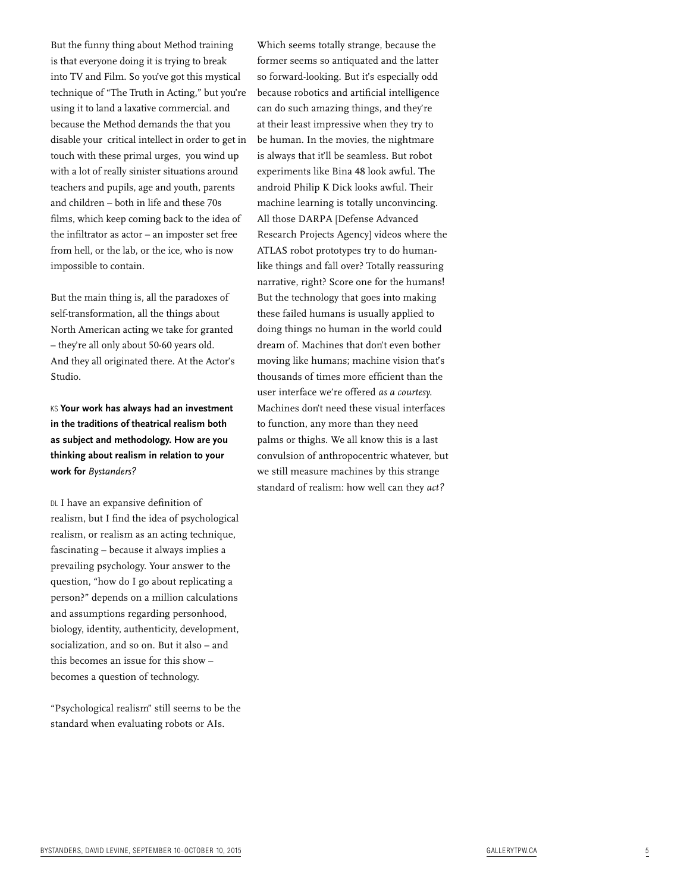But the funny thing about Method training is that everyone doing it is trying to break into TV and Film. So you've got this mystical technique of "The Truth in Acting," but you're using it to land a laxative commercial. and because the Method demands the that you disable your critical intellect in order to get in touch with these primal urges, you wind up with a lot of really sinister situations around teachers and pupils, age and youth, parents and children – both in life and these 70s films, which keep coming back to the idea of the infiltrator as actor – an imposter set free from hell, or the lab, or the ice, who is now impossible to contain.

But the main thing is, all the paradoxes of self-transformation, all the things about North American acting we take for granted – they're all only about 50-60 years old. And they all originated there. At the Actor's Studio.

KS **Your work has always had an investment in the traditions of theatrical realism both as subject and methodology. How are you thinking about realism in relation to your work for** *Bystanders?*

DL I have an expansive definition of realism, but I find the idea of psychological realism, or realism as an acting technique, fascinating – because it always implies a prevailing psychology. Your answer to the question, "how do I go about replicating a person?" depends on a million calculations and assumptions regarding personhood, biology, identity, authenticity, development, socialization, and so on. But it also – and this becomes an issue for this show – becomes a question of technology.

"Psychological realism" still seems to be the standard when evaluating robots or AIs.

Which seems totally strange, because the former seems so antiquated and the latter so forward-looking. But it's especially odd because robotics and artificial intelligence can do such amazing things, and they're at their least impressive when they try to be human. In the movies, the nightmare is always that it'll be seamless. But robot experiments like Bina 48 look awful. The android Philip K Dick looks awful. Their machine learning is totally unconvincing. All those DARPA [Defense Advanced Research Projects Agency] videos where the ATLAS robot prototypes try to do humanlike things and fall over? Totally reassuring narrative, right? Score one for the humans! But the technology that goes into making these failed humans is usually applied to doing things no human in the world could dream of. Machines that don't even bother moving like humans; machine vision that's thousands of times more efficient than the user interface we're offered *as a courtesy.* Machines don't need these visual interfaces to function, any more than they need palms or thighs. We all know this is a last convulsion of anthropocentric whatever, but we still measure machines by this strange standard of realism: how well can they *act?*